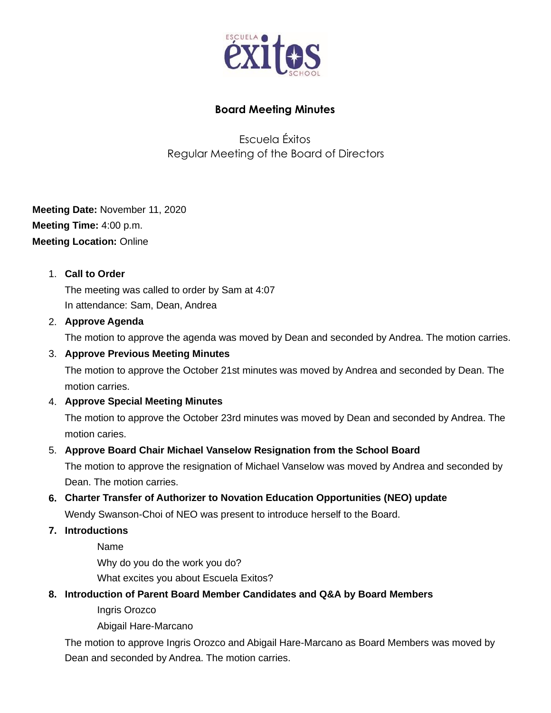

## **Board Meeting Minutes**

Escuela Éxitos Regular Meeting of the Board of Directors

**Meeting Date:** November 11, 2020 **Meeting Time:** 4:00 p.m. **Meeting Location:** Online

## 1. **Call to Order**

The meeting was called to order by Sam at 4:07 In attendance: Sam, Dean, Andrea

#### 2. **Approve Agenda**

The motion to approve the agenda was moved by Dean and seconded by Andrea. The motion carries.

#### 3. **Approve Previous Meeting Minutes**

The motion to approve the October 21st minutes was moved by Andrea and seconded by Dean. The motion carries.

## 4. **Approve Special Meeting Minutes**

The motion to approve the October 23rd minutes was moved by Dean and seconded by Andrea. The motion caries.

#### 5. **Approve Board Chair Michael Vanselow Resignation from the School Board**

The motion to approve the resignation of Michael Vanselow was moved by Andrea and seconded by Dean. The motion carries.

## **6. Charter Transfer of Authorizer to Novation Education Opportunities (NEO) update**

Wendy Swanson-Choi of NEO was present to introduce herself to the Board.

## **7. Introductions**

Name Why do you do the work you do? What excites you about Escuela Exitos?

## **8. Introduction of Parent Board Member Candidates and Q&A by Board Members**

Ingris Orozco

Abigail Hare-Marcano

The motion to approve Ingris Orozco and Abigail Hare-Marcano as Board Members was moved by Dean and seconded by Andrea. The motion carries.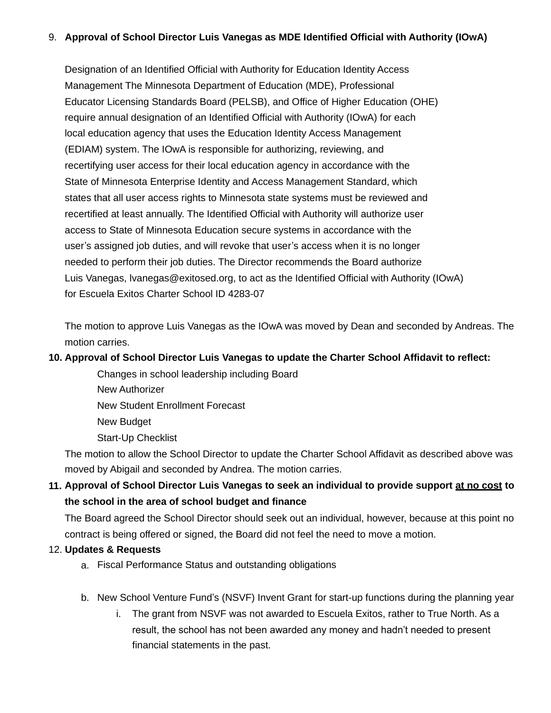#### 9. **Approval of School Director Luis Vanegas as MDE Identified Official with Authority (IOwA)**

Designation of an Identified Official with Authority for Education Identity Access Management The Minnesota Department of Education (MDE), Professional Educator Licensing Standards Board (PELSB), and Office of Higher Education (OHE) require annual designation of an Identified Official with Authority (IOwA) for each local education agency that uses the Education Identity Access Management (EDIAM) system. The IOwA is responsible for authorizing, reviewing, and recertifying user access for their local education agency in accordance with the State of Minnesota Enterprise Identity and Access Management Standard, which states that all user access rights to Minnesota state systems must be reviewed and recertified at least annually. The Identified Official with Authority will authorize user access to State of Minnesota Education secure systems in accordance with the user's assigned job duties, and will revoke that user's access when it is no longer needed to perform their job duties. The Director recommends the Board authorize Luis Vanegas, lvanegas@exitosed.org, to act as the Identified Official with Authority (IOwA) for Escuela Exitos Charter School ID 4283-07

The motion to approve Luis Vanegas as the IOwA was moved by Dean and seconded by Andreas. The motion carries.

#### **10. Approval of School Director Luis Vanegas to update the Charter School Affidavit to reflect:**

Changes in school leadership including Board New Authorizer New Student Enrollment Forecast New Budget

Start-Up Checklist

The motion to allow the School Director to update the Charter School Affidavit as described above was moved by Abigail and seconded by Andrea. The motion carries.

# **11. Approval of School Director Luis Vanegas to seek an individual to provide support at no cost to the school in the area of school budget and finance**

The Board agreed the School Director should seek out an individual, however, because at this point no contract is being offered or signed, the Board did not feel the need to move a motion.

## 12. **Updates & Requests**

- a. Fiscal Performance Status and outstanding obligations
- b. New School Venture Fund's (NSVF) Invent Grant for start-up functions during the planning year
	- i. The grant from NSVF was not awarded to Escuela Exitos, rather to True North. As a result, the school has not been awarded any money and hadn't needed to present financial statements in the past.